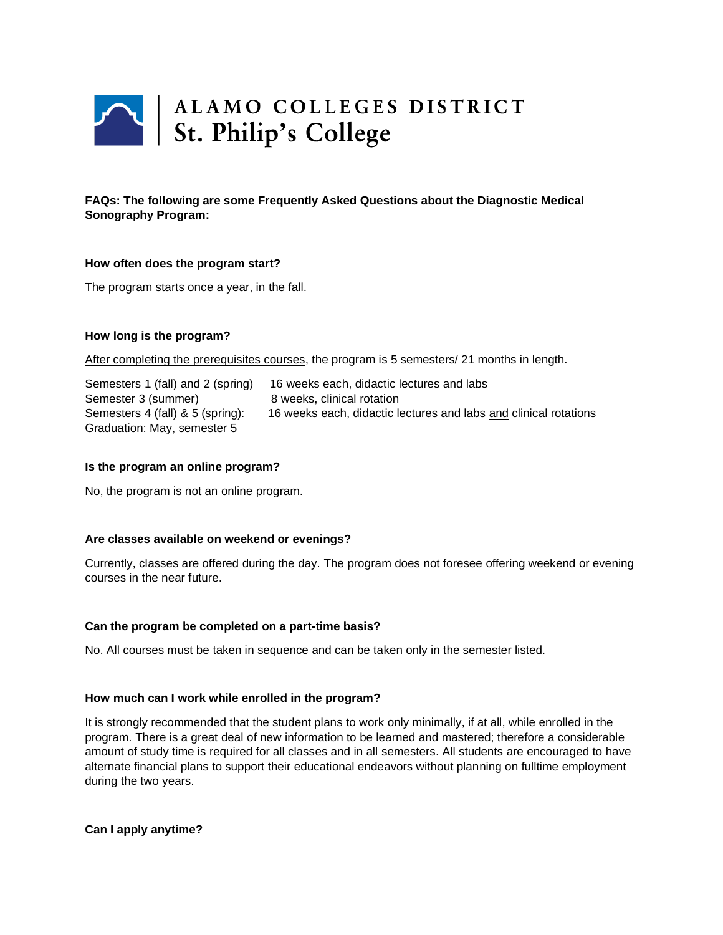

# **FAQs: The following are some Frequently Asked Questions about the Diagnostic Medical Sonography Program:**

## **How often does the program start?**

The program starts once a year, in the fall.

## **How long is the program?**

After completing the prerequisites courses, the program is 5 semesters/ 21 months in length.

Semesters 1 (fall) and 2 (spring) 16 weeks each, didactic lectures and labs Semester 3 (summer) 8 weeks, clinical rotation Semesters 4 (fall) & 5 (spring): 16 weeks each, didactic lectures and labs and clinical rotations Graduation: May, semester 5

## **Is the program an online program?**

No, the program is not an online program.

## **Are classes available on weekend or evenings?**

Currently, classes are offered during the day. The program does not foresee offering weekend or evening courses in the near future.

## **Can the program be completed on a part-time basis?**

No. All courses must be taken in sequence and can be taken only in the semester listed.

## **How much can I work while enrolled in the program?**

It is strongly recommended that the student plans to work only minimally, if at all, while enrolled in the program. There is a great deal of new information to be learned and mastered; therefore a considerable amount of study time is required for all classes and in all semesters. All students are encouraged to have alternate financial plans to support their educational endeavors without planning on fulltime employment during the two years.

**Can I apply anytime?**